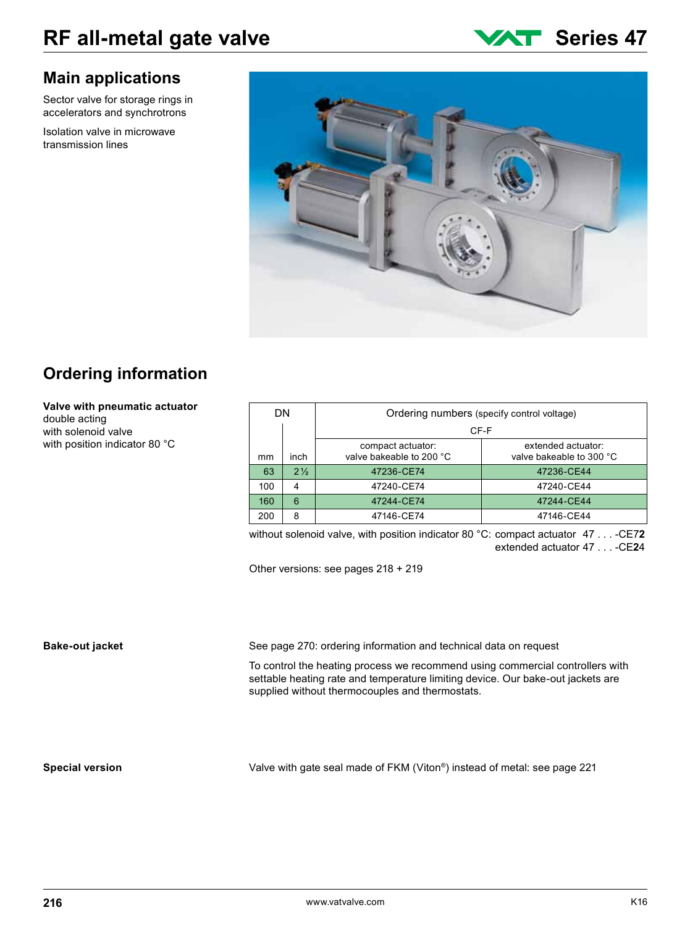### **Main applications**

Sector valve for storage rings in accelerators and synchrotrons

Isolation valve in microwave transmission lines





## **Ordering information**

#### **Valve with pneumatic actuator** double acting

with solenoid valve with position indicator 80 °C

| DN. |                | Ordering numbers (specify control voltage) |                          |  |
|-----|----------------|--------------------------------------------|--------------------------|--|
|     |                | CF-F                                       |                          |  |
|     |                | compact actuator:                          | extended actuator:       |  |
| mm  | inch           | valve bakeable to 200 °C                   | valve bakeable to 300 °C |  |
| 63  | $2\frac{1}{2}$ | 47236-CE74                                 | 47236-CE44               |  |
| 100 | 4              | 47240-CE74                                 | 47240-CE44               |  |
| 160 | 6              | 47244-CE74                                 | 47244-CE44               |  |
| 200 | 8              | 47146-CE74                                 | 47146-CE44               |  |

without solenoid valve, with position indicator 80 °C: compact actuator 47 . . . -CE7**2** extended actuator 47 . . . -CE**2**4

Other versions: see pages 218 + 219

### **Bake-out jacket**

See page 270: ordering information and technical data on request

To control the heating process we recommend using commercial controllers with settable heating rate and temperature limiting device. Our bake-out jackets are supplied without thermocouples and thermostats.

#### **Special version**

Valve with gate seal made of FKM (Viton®) instead of metal: see page 221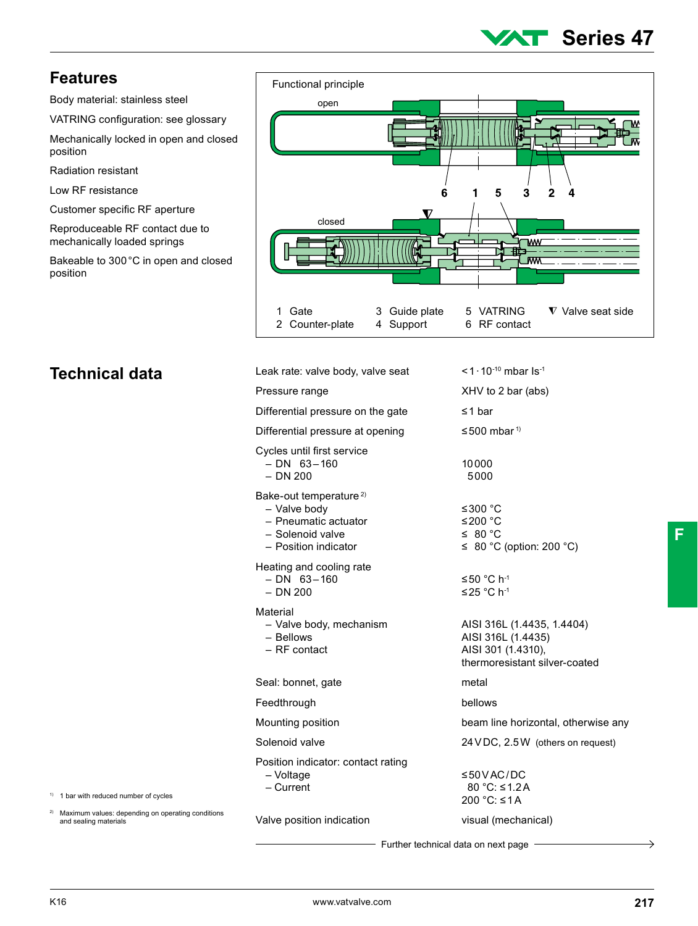# **Series 47**

### **Features**

Body material: stainless steel

VATRING configuration: see glossary

Mechanically locked in open and closed position

Radiation resistant

Low RF resistance

Customer specific RF aperture

Reproduceable RF contact due to mechanically loaded springs

Bakeable to 300°C in open and closed position



## **Technical data**

| Leak rate: valve body, valve seat                                                                                      | <1 $\cdot$ 10 $^{-10}$ mbar ls <sup>-1</sup>                                                            |
|------------------------------------------------------------------------------------------------------------------------|---------------------------------------------------------------------------------------------------------|
| Pressure range                                                                                                         | XHV to 2 bar (abs)                                                                                      |
| Differential pressure on the gate                                                                                      | $\leq$ 1 bar                                                                                            |
| Differential pressure at opening                                                                                       | $\leq$ 500 mbar <sup>1)</sup>                                                                           |
| Cycles until first service<br>$- DN$ 63 $-160$<br>$-$ DN 200                                                           | 10000<br>5000                                                                                           |
| Bake-out temperature <sup>2)</sup><br>- Valve body<br>- Pneumatic actuator<br>- Solenoid valve<br>- Position indicator | ≤300 $^{\circ}$ C<br>≤200 °C<br>$\leq 80^{\circ}$ C<br>$\leq$ 80 °C (option: 200 °C)                    |
| Heating and cooling rate<br>$- DN$ 63 $-160$<br>$-$ DN 200                                                             | ≤50 °C h <sup>-1</sup><br>≤25 °C h <sup>-1</sup>                                                        |
| Material<br>- Valve body, mechanism<br>$-$ Bellows<br>- RF contact                                                     | AISI 316L (1.4435, 1.4404)<br>AISI 316L (1.4435)<br>AISI 301 (1.4310),<br>thermoresistant silver-coated |
| Seal: bonnet, gate                                                                                                     | metal                                                                                                   |
| Feedthrough                                                                                                            | bellows                                                                                                 |
| Mounting position                                                                                                      | beam line horizontal, otherwise any                                                                     |
| Solenoid valve                                                                                                         | 24 VDC, 2.5 W (others on request)                                                                       |
| Position indicator: contact rating<br>- Voltage<br>$-$ Current                                                         | ≤50VAC/DC<br>80 °C: ≤1.2A<br>200 °C: ≤1A                                                                |
| Valve position indication                                                                                              | visual (mechanical)                                                                                     |
| —— Further technical data on next page —                                                                               |                                                                                                         |

**F**

1) 1 bar with reduced number of cycles

2) Maximum values: depending on operating conditions and sealing materials

Further technical data on next page

⇒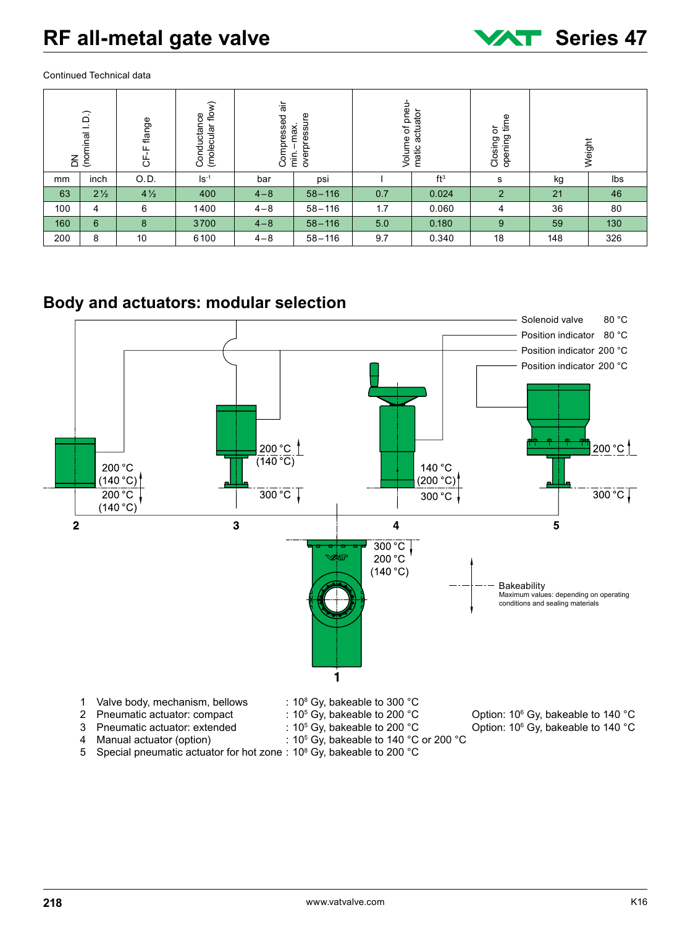

Continued Technical data

| DN<br>(nominal I. D.)                 |                | CF-F flange    | (molecular flow)<br>Conductance | Compressed | overpressure<br>-max.<br>$\frac{1}{2}$ | of pneu-<br>Volume | matic actuator  | opening time<br>ŏ<br>Closing |     | Weight |
|---------------------------------------|----------------|----------------|---------------------------------|------------|----------------------------------------|--------------------|-----------------|------------------------------|-----|--------|
| mm                                    | inch           | O.D.           | $\mathsf{Is}^{-1}$              | bar        | psi                                    |                    | ft <sup>3</sup> | s                            | kg  | Ibs    |
| 63                                    | $2\frac{1}{2}$ | $4\frac{1}{2}$ | 400                             | $4 - 8$    | $58 - 116$                             | 0.7                | 0.024           | $\overline{2}$               | 21  | 46     |
| 100                                   | 4              | 6              | 1400                            | $4 - 8$    | $58 - 116$                             | 1.7                | 0.060           | 4                            | 36  | 80     |
| 160                                   | $6\phantom{1}$ | 8              | 3700                            | $4 - 8$    | $58 - 116$                             | 5.0                | 0.180           | 9                            | 59  | 130    |
| 200                                   | 8              | 10             | 6100                            | $4 - 8$    | $58 - 116$                             | 9.7                | 0.340           | 18                           | 148 | 326    |
| Body and actuators: modular selection |                |                |                                 |            |                                        |                    |                 |                              |     |        |



5 Special pneumatic actuator for hot zone: 10<sup>8</sup> Gy, bakeable to 200 °C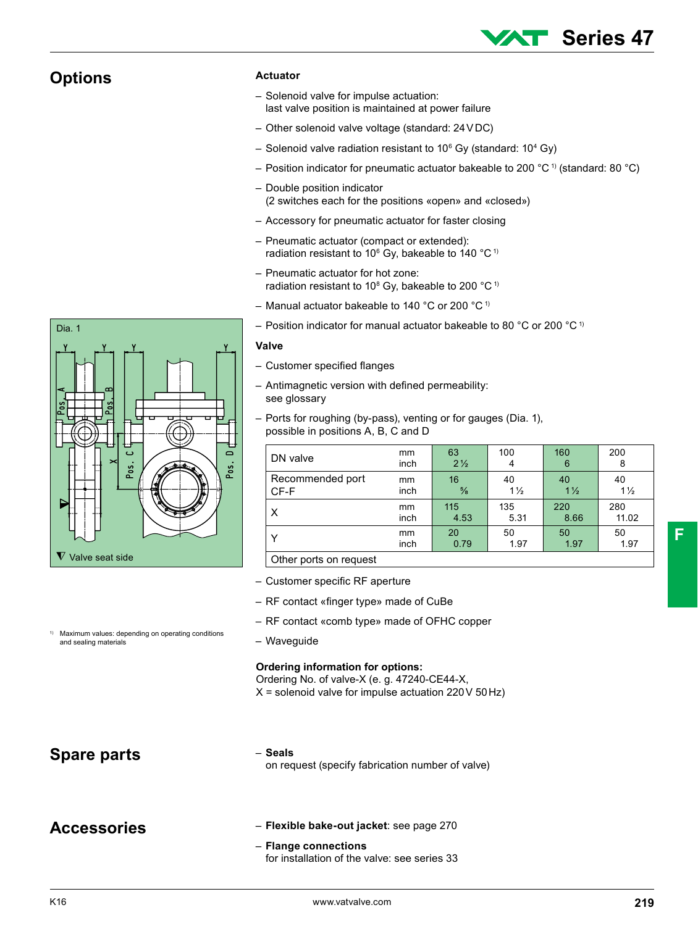### **Options**

Dia. 1

#### **Actuator**

- Solenoid valve for impulse actuation: last valve position is maintained at power failure
- Other solenoid valve voltage (standard: 24VDC)
- $-$  Solenoid valve radiation resistant to 10 $^{\rm 6}$  Gy (standard: 10 $^{\rm 4}$  Gy)
- Position indicator for pneumatic actuator bakeable to 200 °C<sup>1)</sup> (standard: 80 °C)
- Double position indicator (2 switches each for the positions «open» and «closed»)
- Accessory for pneumatic actuator for faster closing
- Pneumatic actuator (compact or extended): radiation resistant to 10 $^{\circ}$  Gy, bakeable to 140  $^{\circ}$ C<sup>1)</sup>
- Pneumatic actuator for hot zone: radiation resistant to 10<sup>8</sup> Gy, bakeable to 200 °C<sup>1)</sup>
- Manual actuator bakeable to 140 °C or 200 °C 1)
- Position indicator for manual actuator bakeable to 80 °C or 200 °C 1)

#### **Valve**

- Customer specified flanges
- Antimagnetic version with defined permeability: see glossary
- Ports for roughing (by-pass), venting or for gauges (Dia. 1), possible in positions A, B, C and D

| DN valve               | mm   | 63             | 100            | 160            | 200            |
|------------------------|------|----------------|----------------|----------------|----------------|
|                        | inch | $2\frac{1}{2}$ | 4              | 6              | 8              |
| Recommended port       | mm   | 16             | 40             | 40             | 40             |
| CF-F                   | inch | $\frac{5}{8}$  | $1\frac{1}{2}$ | $1\frac{1}{2}$ | $1\frac{1}{2}$ |
| X                      | mm   | 115            | 135            | 220            | 280            |
|                        | inch | 4.53           | 5.31           | 8.66           | 11.02          |
| Y                      | mm   | 20             | 50             | 50             | 50             |
|                        | inch | 0.79           | 1.97           | 1.97           | 1.97           |
| Other ports on request |      |                |                |                |                |

– Customer specific RF aperture

- RF contact «finger type» made of CuBe
- RF contact «comb type» made of OFHC copper
- Waveguide

#### **Ordering information for options:**

Ordering No. of valve-X (e. g. 47240-CE44-X,

 $X =$  solenoid valve for impulse actuation 220 V 50 Hz)

and sealing materials

### – **Seals**

**Spare parts**  $\begin{array}{c} \bullet \text{ Seals} \\ \text{on request (specification number of value)} \end{array}$ 

### **Accessories**

– **Flexible bake-out jacket**: see page 270

#### – **Flange connections** for installation of the valve: see series 33

**F**

**Series 47**



Maximum values: depending on operating conditions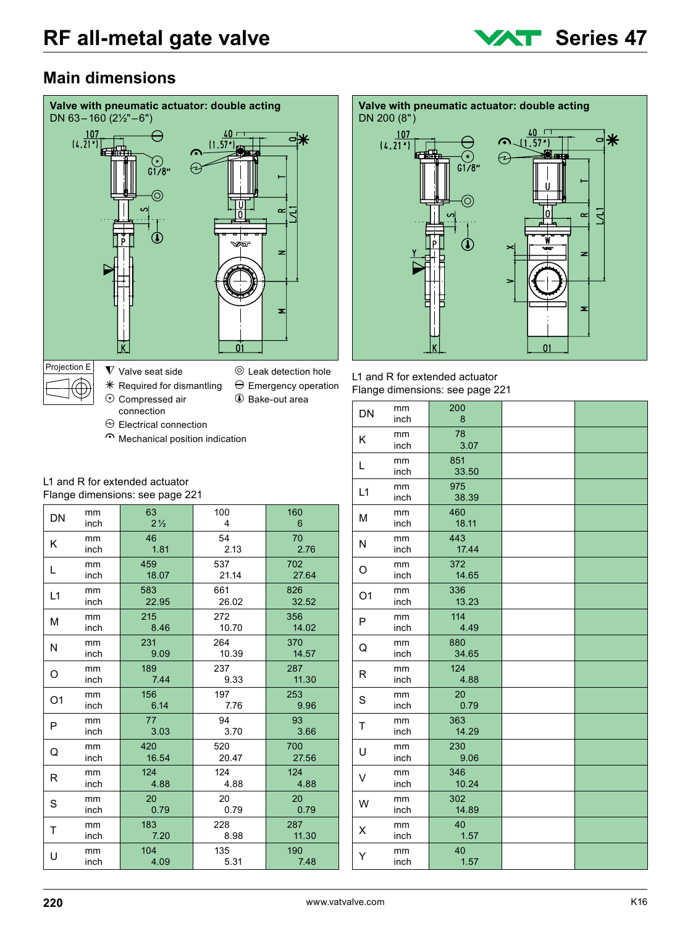

### **Main dimensions**





| L1 and R for extended actuator  |
|---------------------------------|
| Flange dimensions: see page 221 |

| . <del>.</del><br>- רביבי |            |              |  |  |
|---------------------------|------------|--------------|--|--|
| DN                        | mm<br>inch | 200<br>8     |  |  |
| K                         | mm<br>inch | 78<br>3.07   |  |  |
| L                         | mm<br>inch | 851<br>33.50 |  |  |
| L1                        | mm<br>inch | 975<br>38.39 |  |  |
| М                         | mm<br>inch | 460<br>18.11 |  |  |
| N                         | mm<br>inch | 443<br>17.44 |  |  |
| O                         | mm<br>inch | 372<br>14.65 |  |  |
| O <sub>1</sub>            | mm<br>inch | 336<br>13.23 |  |  |
| P                         | mm<br>inch | 114<br>4.49  |  |  |
| Q                         | mm<br>inch | 880<br>34.65 |  |  |
| R                         | mm<br>inch | 124<br>4.88  |  |  |
| S                         | mm<br>inch | 20<br>0.79   |  |  |
| T                         | mm<br>inch | 363<br>14.29 |  |  |
| U                         | mm<br>inch | 230<br>9.06  |  |  |
| V                         | mm<br>inch | 346<br>10.24 |  |  |
| W                         | mm<br>inch | 302<br>14.89 |  |  |
| X                         | mm<br>inch | 40<br>1.57   |  |  |
| Y                         | mm<br>inch | 40<br>1.57   |  |  |

 $\Theta$  Electrical connection

Mechanical position indication

#### L1 and R for extended actuator Flange dimensions: see page 221

| DN             | mm   | 63             | 100   | 160   |
|----------------|------|----------------|-------|-------|
|                | inch | $2\frac{1}{2}$ | 4     | 6     |
| Κ              | mm   | 46             | 54    | 70    |
|                | inch | 1.81           | 2.13  | 2.76  |
| L              | mm   | 459            | 537   | 702   |
|                | inch | 18.07          | 21.14 | 27.64 |
| L1             | mm   | 583            | 661   | 826   |
|                | inch | 22.95          | 26.02 | 32.52 |
| M              | mm   | 215            | 272   | 356   |
|                | inch | 8.46           | 10.70 | 14.02 |
| N              | mm   | 231            | 264   | 370   |
|                | inch | 9.09           | 10.39 | 14.57 |
| O              | mm   | 189            | 237   | 287   |
|                | inch | 7.44           | 9.33  | 11.30 |
| O <sub>1</sub> | mm   | 156            | 197   | 253   |
|                | inch | 6.14           | 7.76  | 9.96  |
| P              | mm   | 77             | 94    | 93    |
|                | inch | 3.03           | 3.70  | 3.66  |
| Q              | mm   | 420            | 520   | 700   |
|                | inch | 16.54          | 20.47 | 27.56 |
| R              | mm   | 124            | 124   | 124   |
|                | inch | 4.88           | 4.88  | 4.88  |
| S              | mm   | 20             | 20    | 20    |
|                | inch | 0.79           | 0.79  | 0.79  |
| т              | mm   | 183            | 228   | 287   |
|                | inch | 7.20           | 8.98  | 11.30 |
| U              | mm   | 104            | 135   | 190   |
|                | inch | 4.09           | 5.31  | 7.48  |
|                |      |                |       |       |